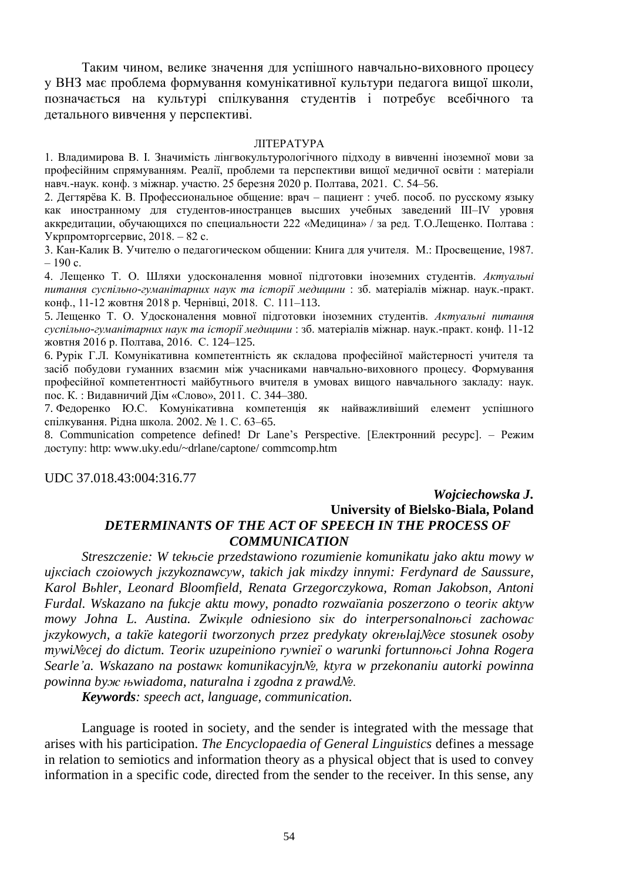Таким чином, велике значення для успішного навчально-виховного процесу у ВНЗ має проблема формування комунікативної культури педагога вищої школи, позначається на культурі спілкування студентів і потребує всебічного та детального вивчення у перспективі.

#### ЛІТЕРАТУРА

1. Владимирова В. І. Значимість лінгвокультурологічного підходу в вивченні іноземної мови за професійним спрямуванням. Реалії, проблеми та перспективи вищої медичної освіти : матеріали навч.-наук. конф. з міжнар. участю. 25 березня 2020 р. Полтава, 2021. С. 54–56.

2. Дегтярёва К. В. Профессиональное общение: врач – пациент : учеб. пособ. по русскому языку как иностранному для студентов-иностранцев высших учебных заведений III–IV уровня аккредитации, обучающихся по специальности 222 «Медицина» / за ред. Т.О.Лещенко. Полтава : Укрпромторгсервис, 2018. – 82 с.

3. Кан-Калик В. Учителю о педагогическом общении: Книга для учителя. М.: Просвещение, 1987.  $-190$  c.

4. Лещенко Т. О. Шляхи удосконалення мовної підготовки іноземних студентів. *Актуальні питання суспільно-гуманітарних наук та історії медицини* : зб. матеріалів міжнар. наук.-практ. конф., 11-12 жовтня 2018 р. Чернівці, 2018. С. 111–113.

5. Лещенко Т. О. Удосконалення мовної підготовки іноземних студентів. *Актуальні питання суспільно-гуманітарних наук та історії медицини* : зб. матеріалів міжнар. наук.-практ. конф. 11-12 жовтня 2016 р. Полтава, 2016. С. 124–125.

6. Рурік Г.Л. Комунікативна компетентність як складова професійної майстерності учителя та засіб побудови гуманних взаємин між учасниками навчально-виховного процесу. Формування професійної компетентності майбутнього вчителя в умовах вищого навчального закладу: наук. пос. К. : Видавничий Дім «Слово», 2011. С. 344–380.

7. Федоренко Ю.С. Комунікативна компетенція як найважливіший елемент успішного спілкування. Рідна школа. 2002. № 1. С. 63–65.

8. Communication competence defined! Dr Lane's Perspective. [Електронний ресурс]. – Режим доступу: http: www.uky.edu/~drlane/captone/ commcomp.htm

UDC 37.018.43:004:316.77

## *Wojciechowska J.* **University of Bielsko-Biala, Poland** *DETERMINANTS OF THE ACT OF SPEECH IN THE PROCESS OF COMMUNICATION*

*Streszczenie: W tekњcie przedstawiono rozumienie komunikatu jako aktu mowy w ujкciach czoіowych jкzykoznawcуw, takich jak miкdzy innymi: Ferdynard de Saussure, Karol Bьhler, Leonard Bloomfield, Renata Grzegorczykowa, Roman Jakobson, Antoni Furdal. Wskazano na fukcje aktu mowy, ponadto rozwaїania poszerzono o teoriк aktуw mowy Johna L. Austina. Zwiкџle odniesiono siк do interpersonalnoњci zachowaс jкzykowych, a takїe kategorii tworzonych przez predykaty okreњlaj№ce stosunek osoby mуwi№cej do dictum. Teoriк uzupeіniono rуwnieї o warunki fortunnoњci Johna Rogera Searle'a. Wskazano na postawк komunikacyjn№, ktуra w przekonaniu autorki powinna powinna byж њwiadoma, naturalna i zgodna z prawd№.*

*Keywords: speech act, language, communication.*

Language is rooted in society, and the sender is integrated with the message that arises with his participation. *The Encyclopaedia of General Linguistics* defines a message in relation to semiotics and information theory as a physical object that is used to convey information in a specific code, directed from the sender to the receiver. In this sense, any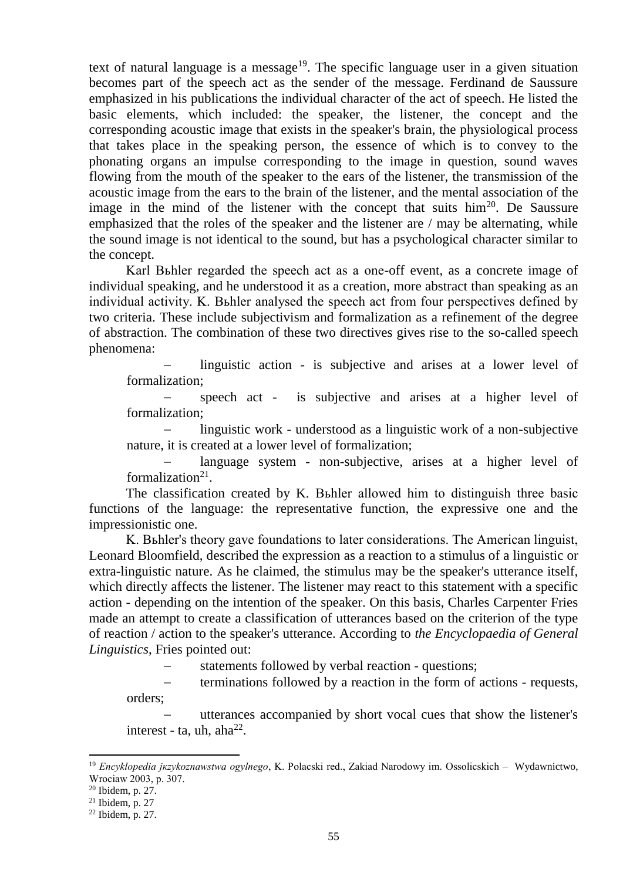text of natural language is a message<sup>19</sup>. The specific language user in a given situation becomes part of the speech act as the sender of the message. Ferdinand de Saussure emphasized in his publications the individual character of the act of speech. He listed the basic elements, which included: the speaker, the listener, the concept and the corresponding acoustic image that exists in the speaker's brain, the physiological process that takes place in the speaking person, the essence of which is to convey to the phonating organs an impulse corresponding to the image in question, sound waves flowing from the mouth of the speaker to the ears of the listener, the transmission of the acoustic image from the ears to the brain of the listener, and the mental association of the image in the mind of the listener with the concept that suits  $\lim^{20}$ . De Saussure emphasized that the roles of the speaker and the listener are / may be alternating, while the sound image is not identical to the sound, but has a psychological character similar to the concept.

Karl Bьhler regarded the speech act as a one-off event, as a concrete image of individual speaking, and he understood it as a creation, more abstract than speaking as an individual activity. K. Bьhler analysed the speech act from four perspectives defined by two criteria. These include subjectivism and formalization as a refinement of the degree of abstraction. The combination of these two directives gives rise to the so-called speech phenomena:

 linguistic action - is subjective and arises at a lower level of formalization;

 speech act - is subjective and arises at a higher level of formalization;

 linguistic work - understood as a linguistic work of a non-subjective nature, it is created at a lower level of formalization;

 language system - non-subjective, arises at a higher level of formalization<sup>21</sup>.

The classification created by K. Bьhler allowed him to distinguish three basic functions of the language: the representative function, the expressive one and the impressionistic one.

K. Bьhler's theory gave foundations to later considerations. The American linguist, Leonard Bloomfield, described the expression as a reaction to a stimulus of a linguistic or extra-linguistic nature. As he claimed, the stimulus may be the speaker's utterance itself, which directly affects the listener. The listener may react to this statement with a specific action - depending on the intention of the speaker. On this basis, Charles Carpenter Fries made an attempt to create a classification of utterances based on the criterion of the type of reaction / action to the speaker's utterance. According to *the Encyclopaedia of General Linguistics*, Fries pointed out:

statements followed by verbal reaction - questions;

 terminations followed by a reaction in the form of actions - requests, orders;

 utterances accompanied by short vocal cues that show the listener's interest - ta, uh, aha $^{22}$ .

**.** 

<sup>19</sup> *Encyklopedia jкzykoznawstwa ogуlnego*, K. Polaсski red., Zakіad Narodowy im. Ossoliсskich – Wydawnictwo, Wrocіaw 2003, p. 307.

 $20$  Ibidem, p. 27.

 $21$  Ibidem, p. 27

<sup>22</sup> Ibidem, p. 27.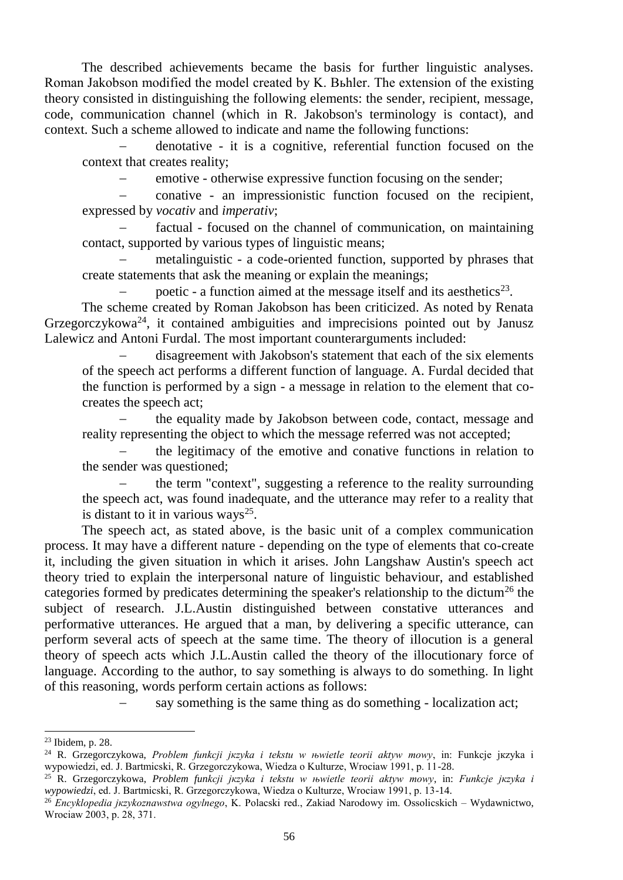The described achievements became the basis for further linguistic analyses. Roman Jakobson modified the model created by K. Bьhler. The extension of the existing theory consisted in distinguishing the following elements: the sender, recipient, message, code, communication channel (which in R. Jakobson's terminology is contact), and context. Such a scheme allowed to indicate and name the following functions:

 denotative - it is a cognitive, referential function focused on the context that creates reality;

emotive - otherwise expressive function focusing on the sender;

 conative - an impressionistic function focused on the recipient, expressed by *vocativ* and *imperativ*;

 factual - focused on the channel of communication, on maintaining contact, supported by various types of linguistic means;

 metalinguistic - a code-oriented function, supported by phrases that create statements that ask the meaning or explain the meanings;

- poetic - a function aimed at the message itself and its aesthetics<sup>23</sup>.

The scheme created by Roman Jakobson has been criticized. As noted by Renata Grzegorczykowa<sup>24</sup>, it contained ambiguities and imprecisions pointed out by Janusz Lalewicz and Antoni Furdal. The most important counterarguments included:

 disagreement with Jakobson's statement that each of the six elements of the speech act performs a different function of language. A. Furdal decided that the function is performed by a sign - a message in relation to the element that cocreates the speech act;

 the equality made by Jakobson between code, contact, message and reality representing the object to which the message referred was not accepted;

 the legitimacy of the emotive and conative functions in relation to the sender was questioned;

 the term "context", suggesting a reference to the reality surrounding the speech act, was found inadequate, and the utterance may refer to a reality that is distant to it in various ways<sup>25</sup>.

The speech act, as stated above, is the basic unit of a complex communication process. It may have a different nature - depending on the type of elements that co-create it, including the given situation in which it arises. John Langshaw Austin's speech act theory tried to explain the interpersonal nature of linguistic behaviour, and established categories formed by predicates determining the speaker's relationship to the dictum<sup>26</sup> the subject of research. J.L.Austin distinguished between constative utterances and performative utterances. He argued that a man, by delivering a specific utterance, can perform several acts of speech at the same time. The theory of illocution is a general theory of speech acts which J.L.Austin called the theory of the illocutionary force of language. According to the author, to say something is always to do something. In light of this reasoning, words perform certain actions as follows:

say something is the same thing as do something - localization act;

 $\overline{a}$ 

<sup>23</sup> Ibidem, p. 28.

<sup>24</sup> R. Grzegorczykowa, *Problem funkcji jкzyka i tekstu w њwietle teorii aktуw mowy*, in: Funkcje jкzyka i wypowiedzi, ed. J. Bartmiсski, R. Grzegorczykowa, Wiedza o Kulturze, Wrocіaw 1991, p. 11-28.

<sup>25</sup> R. Grzegorczykowa, *Problem funkcji jкzyka i tekstu w њwietle teorii aktуw mowy*, in: *Funkcje jкzyka i wypowiedzi*, ed. J. Bartmiсski, R. Grzegorczykowa, Wiedza o Kulturze, Wrocіaw 1991, p. 13-14.

<sup>26</sup> *Encyklopedia jкzykoznawstwa ogуlnego*, K. Polaсski red., Zakіad Narodowy im. Ossoliсskich – Wydawnictwo, Wrocіaw 2003, p. 28, 371.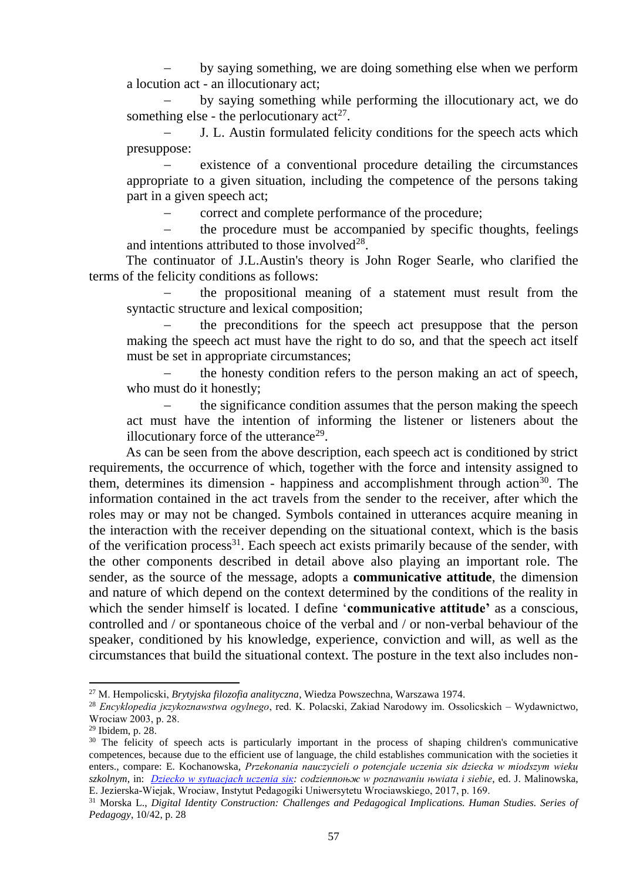by saying something, we are doing something else when we perform a locution act - an illocutionary act;

 by saying something while performing the illocutionary act, we do something else - the perlocutionary  $act^{27}$ .

 J. L. Austin formulated felicity conditions for the speech acts which presuppose:

 existence of a conventional procedure detailing the circumstances appropriate to a given situation, including the competence of the persons taking part in a given speech act;

correct and complete performance of the procedure;

 the procedure must be accompanied by specific thoughts, feelings and intentions attributed to those involved $28$ .

The continuator of J.L.Austin's theory is John Roger Searle, who clarified the terms of the felicity conditions as follows:

 the propositional meaning of a statement must result from the syntactic structure and lexical composition;

 the preconditions for the speech act presuppose that the person making the speech act must have the right to do so, and that the speech act itself must be set in appropriate circumstances;

 the honesty condition refers to the person making an act of speech, who must do it honestly;

 the significance condition assumes that the person making the speech act must have the intention of informing the listener or listeners about the illocutionary force of the utterance<sup>29</sup>.

As can be seen from the above description, each speech act is conditioned by strict requirements, the occurrence of which, together with the force and intensity assigned to them, determines its dimension - happiness and accomplishment through action<sup>30</sup>. The information contained in the act travels from the sender to the receiver, after which the roles may or may not be changed. Symbols contained in utterances acquire meaning in the interaction with the receiver depending on the situational context, which is the basis of the verification process<sup>31</sup>. Each speech act exists primarily because of the sender, with the other components described in detail above also playing an important role. The sender, as the source of the message, adopts a **communicative attitude**, the dimension and nature of which depend on the context determined by the conditions of the reality in which the sender himself is located. I define '**communicative attitude'** as a conscious, controlled and / or spontaneous choice of the verbal and / or non-verbal behaviour of the speaker, conditioned by his knowledge, experience, conviction and will, as well as the circumstances that build the situational context. The posture in the text also includes non-

**.** 

<sup>27</sup> M. Hempoliсski, *Brytyjska filozofia analityczna*, Wiedza Powszechna, Warszawa 1974.

<sup>28</sup> *Encyklopedia jкzykoznawstwa ogуlnego*, red. K. Polaсski, Zakіad Narodowy im. Ossoliсskich – Wydawnictwo, Wrocіaw 2003, p. 28.

<sup>29</sup> Ibidem, p. 28.

<sup>&</sup>lt;sup>30</sup> The felicity of speech acts is particularly important in the process of shaping children's communicative competences, because due to the efficient use of language, the child establishes communication with the societies it enters., compare: E. Kochanowska, *Przekonania nauczycieli o potencjale uczenia siк dziecka w mіodszym wieku szkolnym*, in: *[Dziecko w sytuacjach uczenia siк:](http://bibliografia.ath.bielsko.pl/cgi-bin/expertus3.cgi) codziennoњж w poznawaniu њwiata i siebie*, ed. J. Malinowska, E. Jezierska-Wiejak, Wrocіaw, Instytut Pedagogiki Uniwersytetu Wrocіawskiego, 2017, p. 169.

<sup>31</sup> Morska L., *Digital Identity Construction: Challenges and Pedagogical Implications. Human Studies. Series of Pedagogy*, 10/42, p. 28